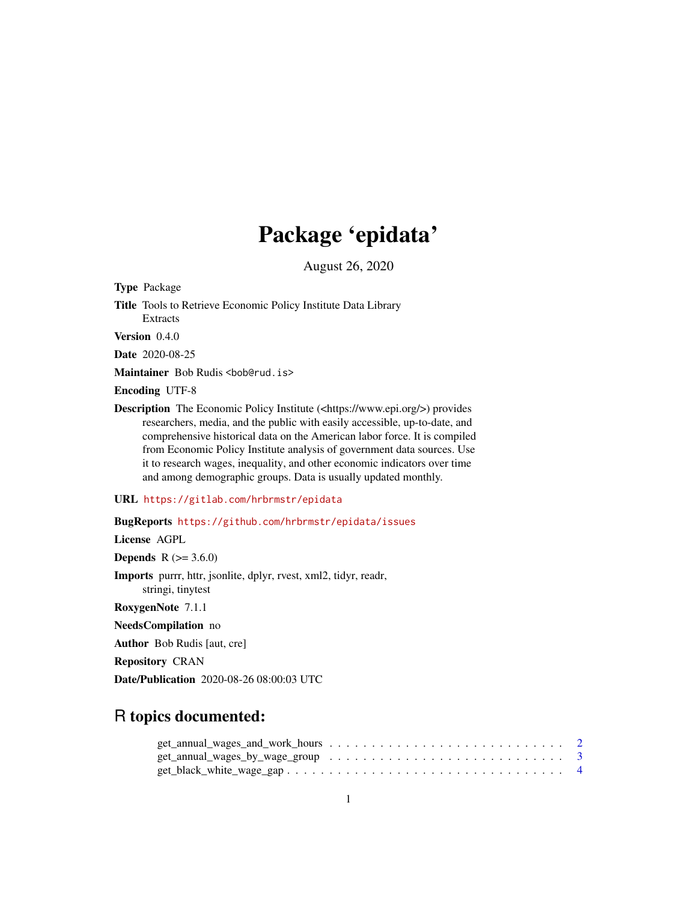# Package 'epidata'

August 26, 2020

Type Package

Title Tools to Retrieve Economic Policy Institute Data Library Extracts

Version 0.4.0

Date 2020-08-25

Maintainer Bob Rudis <bob@rud.is>

Encoding UTF-8

Description The Economic Policy Institute (<https://www.epi.org/>) provides researchers, media, and the public with easily accessible, up-to-date, and comprehensive historical data on the American labor force. It is compiled from Economic Policy Institute analysis of government data sources. Use it to research wages, inequality, and other economic indicators over time and among demographic groups. Data is usually updated monthly.

URL <https://gitlab.com/hrbrmstr/epidata>

BugReports <https://github.com/hrbrmstr/epidata/issues>

License AGPL

**Depends**  $R$  ( $> = 3.6.0$ )

Imports purrr, httr, jsonlite, dplyr, rvest, xml2, tidyr, readr, stringi, tinytest

RoxygenNote 7.1.1

NeedsCompilation no

Author Bob Rudis [aut, cre]

Repository CRAN

Date/Publication 2020-08-26 08:00:03 UTC

# R topics documented:

| $get\_annual\_wages\_and\_work\_hours \dots \dots \dots \dots \dots \dots \dots \dots \dots \dots \dots$ |  |  |  |  |  |  |  |  |  |  |  |  |  |
|----------------------------------------------------------------------------------------------------------|--|--|--|--|--|--|--|--|--|--|--|--|--|
| $get\_annual\_wages\_by\_wage\_group \dots \dots \dots \dots \dots \dots \dots \dots \dots \dots$ 3      |  |  |  |  |  |  |  |  |  |  |  |  |  |
| $get\_black\_white\_wage\_gap \dots \dots \dots \dots \dots \dots \dots \dots \dots \dots \dots \dots$   |  |  |  |  |  |  |  |  |  |  |  |  |  |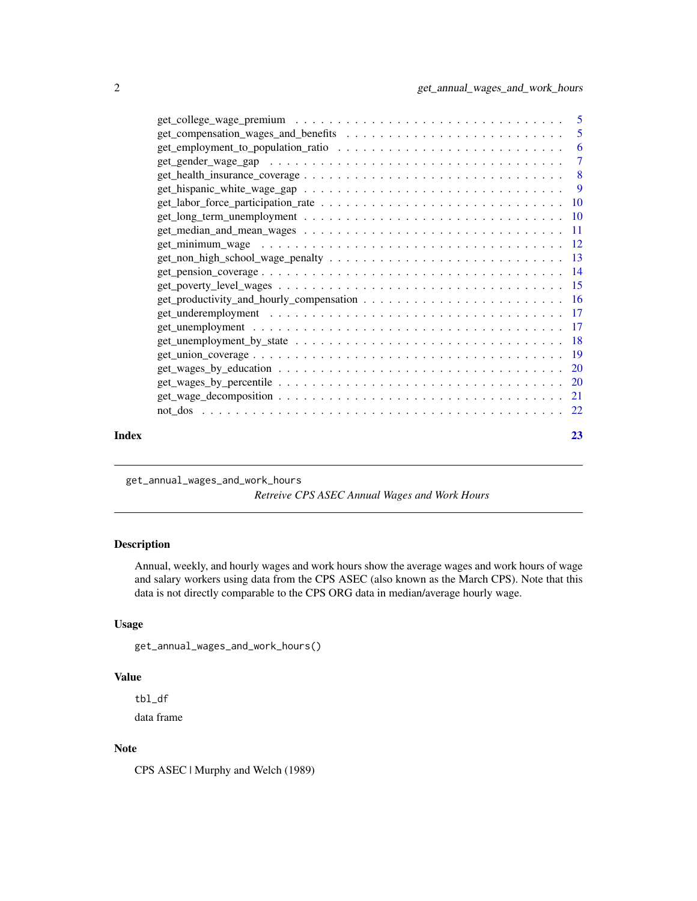<span id="page-1-0"></span>

|       | $get\_hispanic\_white\_wage\_gap \dots \dots \dots \dots \dots \dots \dots \dots \dots \dots \dots$ |    |
|-------|-----------------------------------------------------------------------------------------------------|----|
|       |                                                                                                     |    |
|       |                                                                                                     |    |
|       |                                                                                                     |    |
|       |                                                                                                     |    |
|       |                                                                                                     |    |
|       |                                                                                                     |    |
|       |                                                                                                     |    |
|       |                                                                                                     |    |
|       |                                                                                                     |    |
|       |                                                                                                     |    |
|       |                                                                                                     |    |
|       |                                                                                                     |    |
|       |                                                                                                     |    |
|       |                                                                                                     |    |
|       |                                                                                                     |    |
|       |                                                                                                     |    |
|       |                                                                                                     |    |
| Index |                                                                                                     | 23 |

get\_annual\_wages\_and\_work\_hours

*Retreive CPS ASEC Annual Wages and Work Hours*

# Description

Annual, weekly, and hourly wages and work hours show the average wages and work hours of wage and salary workers using data from the CPS ASEC (also known as the March CPS). Note that this data is not directly comparable to the CPS ORG data in median/average hourly wage.

## Usage

```
get_annual_wages_and_work_hours()
```
# Value

tbl\_df

data frame

# Note

CPS ASEC | Murphy and Welch (1989)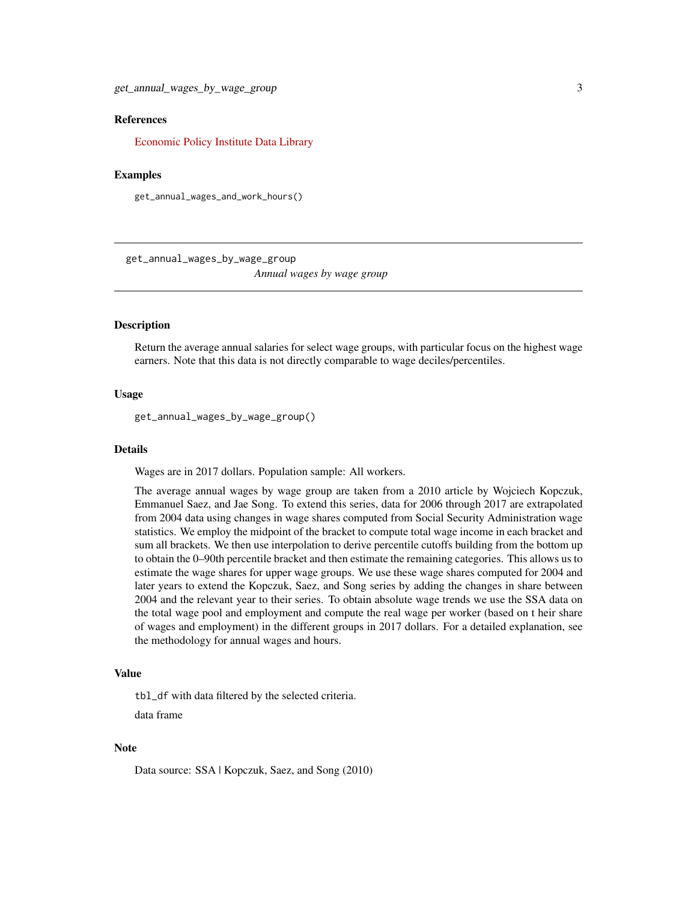<span id="page-2-0"></span>get\_annual\_wages\_by\_wage\_group 3

### References

[Economic Policy Institute Data Library](https://www.epi.org/data/)

#### Examples

get\_annual\_wages\_and\_work\_hours()

get\_annual\_wages\_by\_wage\_group *Annual wages by wage group*

# Description

Return the average annual salaries for select wage groups, with particular focus on the highest wage earners. Note that this data is not directly comparable to wage deciles/percentiles.

# Usage

get\_annual\_wages\_by\_wage\_group()

#### Details

Wages are in 2017 dollars. Population sample: All workers.

The average annual wages by wage group are taken from a 2010 article by Wojciech Kopczuk, Emmanuel Saez, and Jae Song. To extend this series, data for 2006 through 2017 are extrapolated from 2004 data using changes in wage shares computed from Social Security Administration wage statistics. We employ the midpoint of the bracket to compute total wage income in each bracket and sum all brackets. We then use interpolation to derive percentile cutoffs building from the bottom up to obtain the 0–90th percentile bracket and then estimate the remaining categories. This allows us to estimate the wage shares for upper wage groups. We use these wage shares computed for 2004 and later years to extend the Kopczuk, Saez, and Song series by adding the changes in share between 2004 and the relevant year to their series. To obtain absolute wage trends we use the SSA data on the total wage pool and employment and compute the real wage per worker (based on t heir share of wages and employment) in the different groups in 2017 dollars. For a detailed explanation, see the methodology for annual wages and hours.

# Value

tbl\_df with data filtered by the selected criteria.

data frame

#### **Note**

Data source: SSA | Kopczuk, Saez, and Song (2010)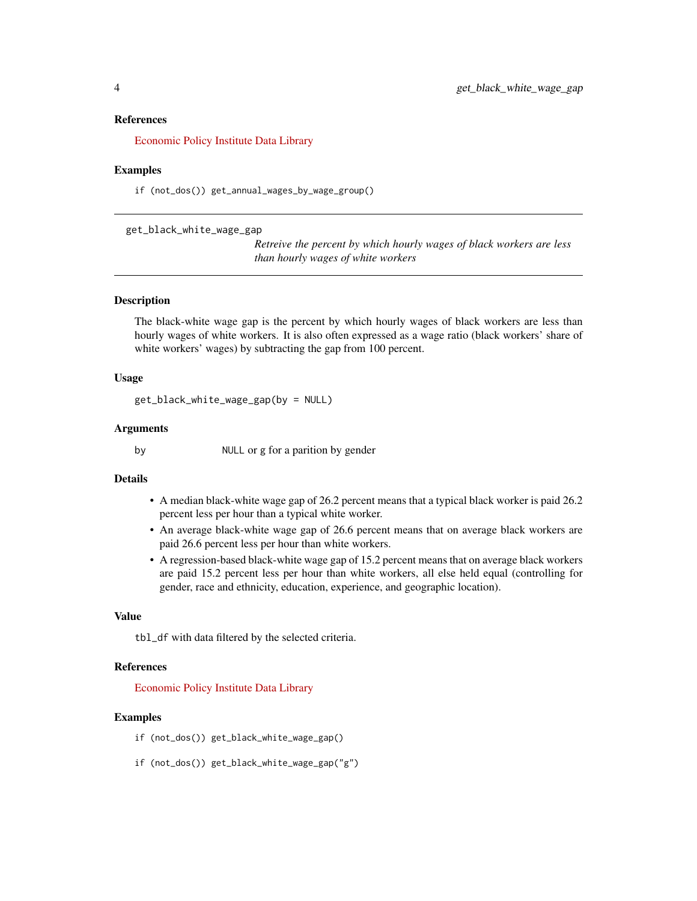#### <span id="page-3-0"></span>References

[Economic Policy Institute Data Library](https://www.epi.org/data/)

#### Examples

if (not\_dos()) get\_annual\_wages\_by\_wage\_group()

get\_black\_white\_wage\_gap

*Retreive the percent by which hourly wages of black workers are less than hourly wages of white workers*

# Description

The black-white wage gap is the percent by which hourly wages of black workers are less than hourly wages of white workers. It is also often expressed as a wage ratio (black workers' share of white workers' wages) by subtracting the gap from 100 percent.

# Usage

```
get_black_white_wage_gap(by = NULL)
```
#### Arguments

by NULL or g for a parition by gender

#### Details

- A median black-white wage gap of 26.2 percent means that a typical black worker is paid 26.2 percent less per hour than a typical white worker.
- An average black-white wage gap of 26.6 percent means that on average black workers are paid 26.6 percent less per hour than white workers.
- A regression-based black-white wage gap of 15.2 percent means that on average black workers are paid 15.2 percent less per hour than white workers, all else held equal (controlling for gender, race and ethnicity, education, experience, and geographic location).

#### Value

tbl\_df with data filtered by the selected criteria.

# References

[Economic Policy Institute Data Library](https://www.epi.org/data/)

- if (not\_dos()) get\_black\_white\_wage\_gap()
- if (not\_dos()) get\_black\_white\_wage\_gap("g")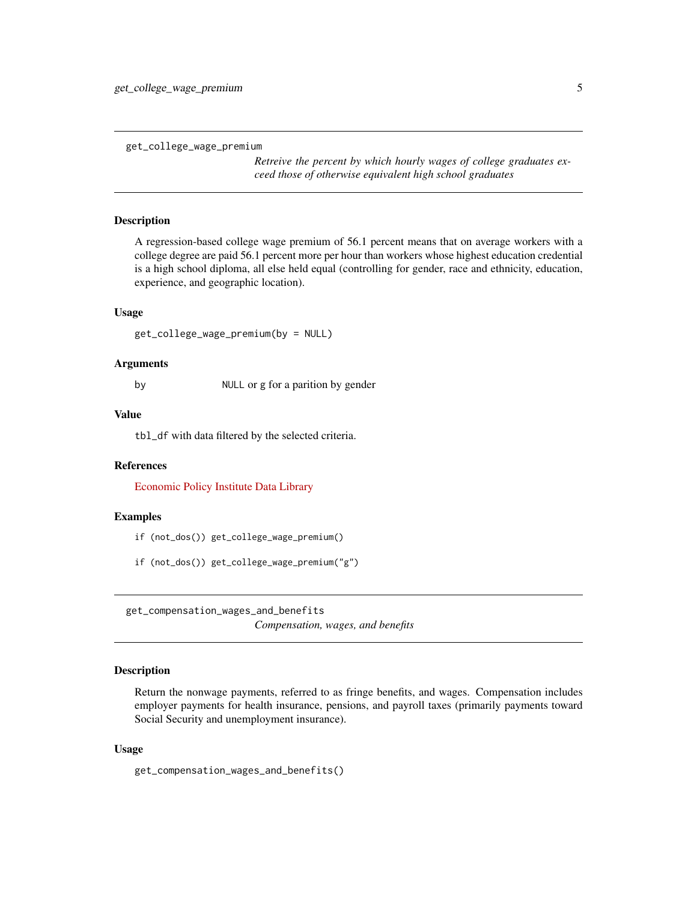<span id="page-4-0"></span>get\_college\_wage\_premium

*Retreive the percent by which hourly wages of college graduates exceed those of otherwise equivalent high school graduates*

#### Description

A regression-based college wage premium of 56.1 percent means that on average workers with a college degree are paid 56.1 percent more per hour than workers whose highest education credential is a high school diploma, all else held equal (controlling for gender, race and ethnicity, education, experience, and geographic location).

#### Usage

```
get_college_wage_premium(by = NULL)
```
# Arguments

by NULL or g for a parition by gender

#### Value

tbl\_df with data filtered by the selected criteria.

#### References

[Economic Policy Institute Data Library](https://www.epi.org/data/)

# Examples

- if (not\_dos()) get\_college\_wage\_premium()
- if (not\_dos()) get\_college\_wage\_premium("g")

get\_compensation\_wages\_and\_benefits *Compensation, wages, and benefits*

# **Description**

Return the nonwage payments, referred to as fringe benefits, and wages. Compensation includes employer payments for health insurance, pensions, and payroll taxes (primarily payments toward Social Security and unemployment insurance).

#### Usage

get\_compensation\_wages\_and\_benefits()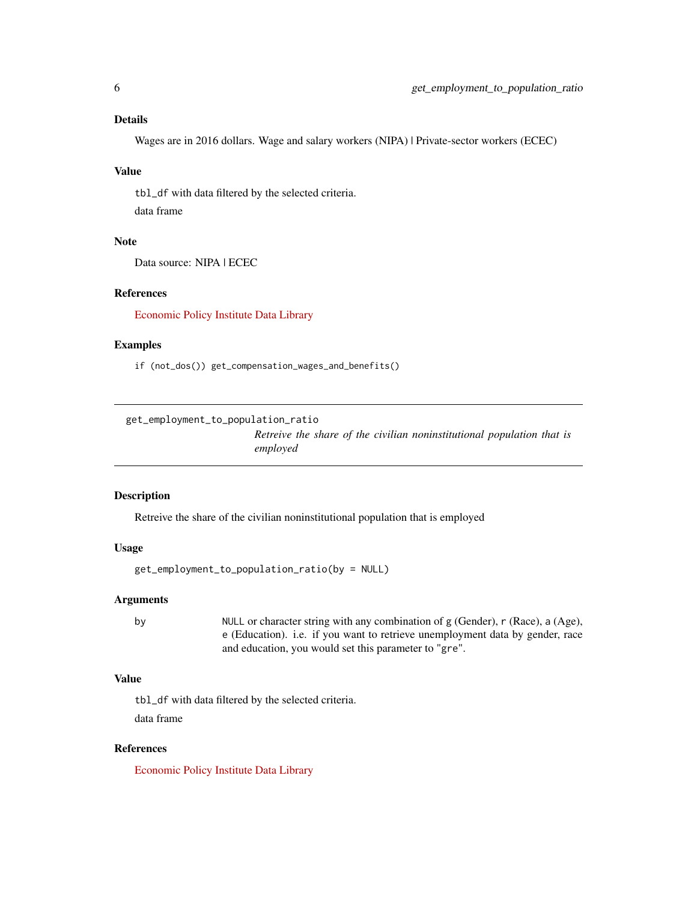<span id="page-5-0"></span>Wages are in 2016 dollars. Wage and salary workers (NIPA) | Private-sector workers (ECEC)

#### Value

tbl\_df with data filtered by the selected criteria.

data frame

# Note

Data source: NIPA | ECEC

# References

[Economic Policy Institute Data Library](https://www.epi.org/data/)

# Examples

if (not\_dos()) get\_compensation\_wages\_and\_benefits()

get\_employment\_to\_population\_ratio

*Retreive the share of the civilian noninstitutional population that is employed*

# Description

Retreive the share of the civilian noninstitutional population that is employed

# Usage

```
get_employment_to_population_ratio(by = NULL)
```
# Arguments

by  $NUL$  or character string with any combination of g (Gender), r (Race), a (Age), e (Education). i.e. if you want to retrieve unemployment data by gender, race and education, you would set this parameter to "gre".

# Value

tbl\_df with data filtered by the selected criteria. data frame

# References

[Economic Policy Institute Data Library](https://www.epi.org/data/)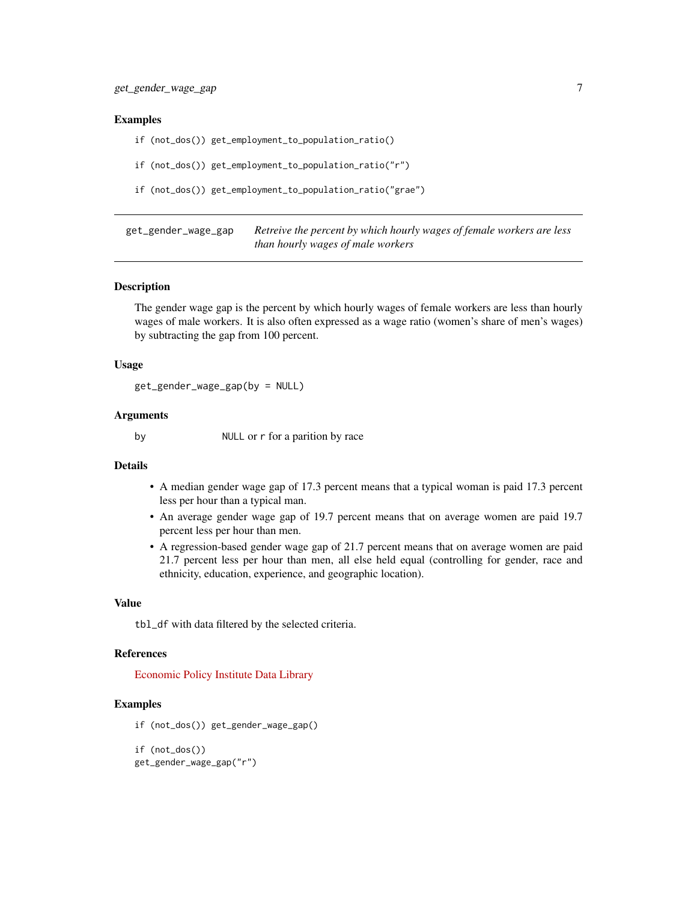#### <span id="page-6-0"></span>Examples

if (not\_dos()) get\_employment\_to\_population\_ratio()

if (not\_dos()) get\_employment\_to\_population\_ratio("r")

```
if (not_dos()) get_employment_to_population_ratio("grae")
```
get\_gender\_wage\_gap *Retreive the percent by which hourly wages of female workers are less than hourly wages of male workers*

# Description

The gender wage gap is the percent by which hourly wages of female workers are less than hourly wages of male workers. It is also often expressed as a wage ratio (women's share of men's wages) by subtracting the gap from 100 percent.

#### Usage

get\_gender\_wage\_gap(by = NULL)

#### Arguments

by NULL or r for a parition by race

#### Details

- A median gender wage gap of 17.3 percent means that a typical woman is paid 17.3 percent less per hour than a typical man.
- An average gender wage gap of 19.7 percent means that on average women are paid 19.7 percent less per hour than men.
- A regression-based gender wage gap of 21.7 percent means that on average women are paid 21.7 percent less per hour than men, all else held equal (controlling for gender, race and ethnicity, education, experience, and geographic location).

#### Value

tbl\_df with data filtered by the selected criteria.

#### References

[Economic Policy Institute Data Library](https://www.epi.org/data/)

```
if (not_dos()) get_gender_wage_gap()
```

```
if (not_dos())
get_gender_wage_gap("r")
```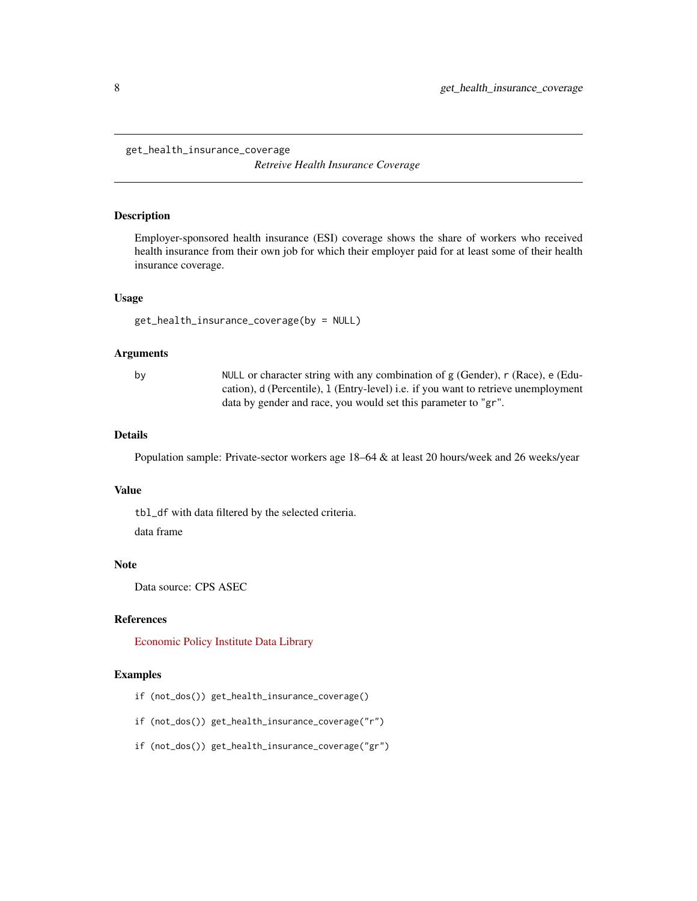<span id="page-7-0"></span>get\_health\_insurance\_coverage

*Retreive Health Insurance Coverage*

#### Description

Employer-sponsored health insurance (ESI) coverage shows the share of workers who received health insurance from their own job for which their employer paid for at least some of their health insurance coverage.

#### Usage

get\_health\_insurance\_coverage(by = NULL)

#### Arguments

by NULL or character string with any combination of g (Gender), r (Race), e (Education), d (Percentile), l (Entry-level) i.e. if you want to retrieve unemployment data by gender and race, you would set this parameter to "gr".

#### Details

Population sample: Private-sector workers age 18–64 & at least 20 hours/week and 26 weeks/year

# Value

tbl\_df with data filtered by the selected criteria.

data frame

#### Note

Data source: CPS ASEC

# References

[Economic Policy Institute Data Library](https://www.epi.org/data/)

- if (not\_dos()) get\_health\_insurance\_coverage()
- if (not\_dos()) get\_health\_insurance\_coverage("r")
- if (not\_dos()) get\_health\_insurance\_coverage("gr")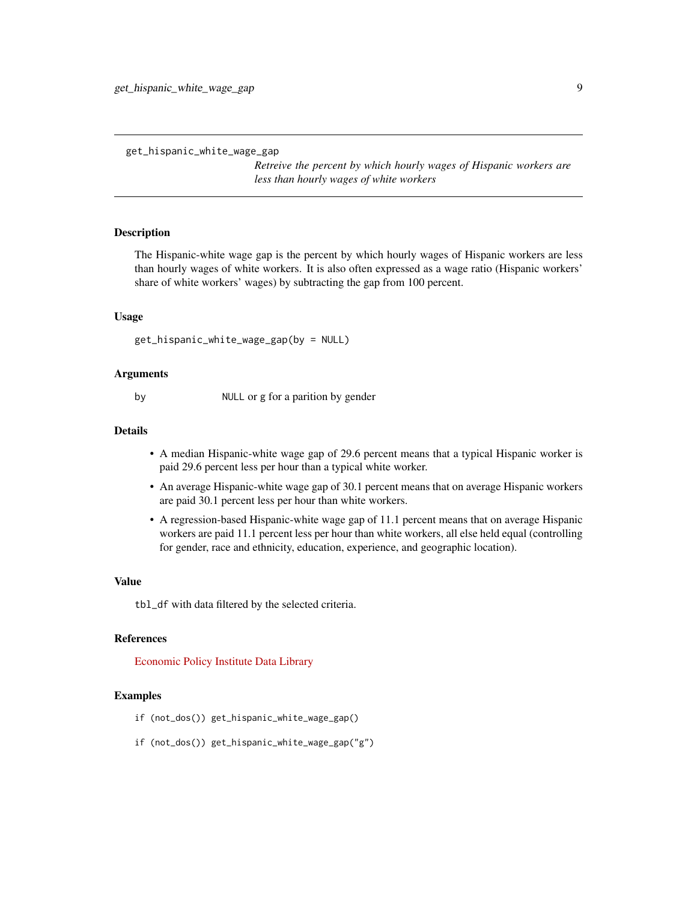```
get_hispanic_white_wage_gap
```
*Retreive the percent by which hourly wages of Hispanic workers are less than hourly wages of white workers*

# Description

The Hispanic-white wage gap is the percent by which hourly wages of Hispanic workers are less than hourly wages of white workers. It is also often expressed as a wage ratio (Hispanic workers' share of white workers' wages) by subtracting the gap from 100 percent.

#### Usage

```
get_hispanic_white_wage_gap(by = NULL)
```
#### Arguments

by NULL or g for a parition by gender

# **Details**

- A median Hispanic-white wage gap of 29.6 percent means that a typical Hispanic worker is paid 29.6 percent less per hour than a typical white worker.
- An average Hispanic-white wage gap of 30.1 percent means that on average Hispanic workers are paid 30.1 percent less per hour than white workers.
- A regression-based Hispanic-white wage gap of 11.1 percent means that on average Hispanic workers are paid 11.1 percent less per hour than white workers, all else held equal (controlling for gender, race and ethnicity, education, experience, and geographic location).

# Value

tbl\_df with data filtered by the selected criteria.

#### References

[Economic Policy Institute Data Library](https://www.epi.org/data/)

- if (not\_dos()) get\_hispanic\_white\_wage\_gap()
- if (not\_dos()) get\_hispanic\_white\_wage\_gap("g")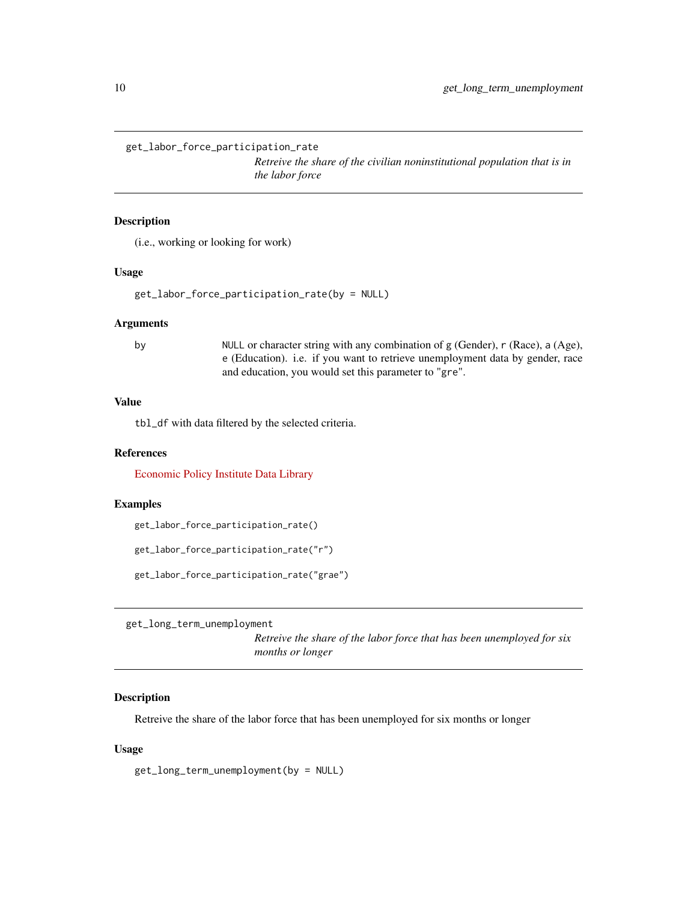<span id="page-9-0"></span>get\_labor\_force\_participation\_rate

*Retreive the share of the civilian noninstitutional population that is in the labor force*

#### Description

(i.e., working or looking for work)

# Usage

```
get_labor_force_participation_rate(by = NULL)
```
#### Arguments

by NULL or character string with any combination of g (Gender), r (Race), a (Age), e (Education). i.e. if you want to retrieve unemployment data by gender, race and education, you would set this parameter to "gre".

# Value

tbl\_df with data filtered by the selected criteria.

#### References

[Economic Policy Institute Data Library](https://www.epi.org/data/)

# Examples

get\_labor\_force\_participation\_rate()

get\_labor\_force\_participation\_rate("r")

get\_labor\_force\_participation\_rate("grae")

get\_long\_term\_unemployment

*Retreive the share of the labor force that has been unemployed for six months or longer*

# Description

Retreive the share of the labor force that has been unemployed for six months or longer

#### Usage

get\_long\_term\_unemployment(by = NULL)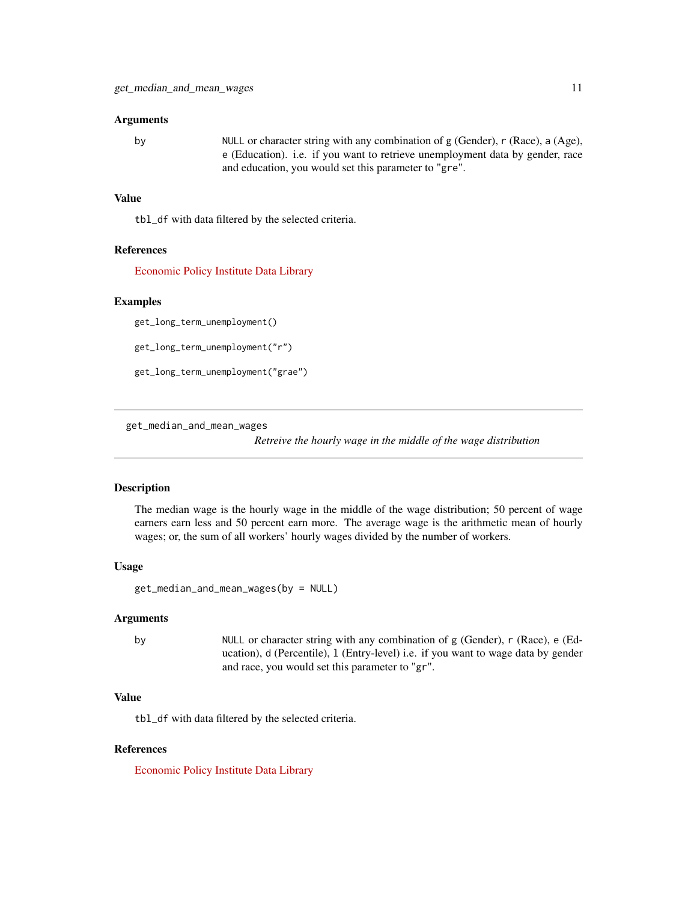#### <span id="page-10-0"></span>Arguments

by NULL or character string with any combination of g (Gender), r (Race), a (Age), e (Education). i.e. if you want to retrieve unemployment data by gender, race and education, you would set this parameter to "gre".

# Value

tbl\_df with data filtered by the selected criteria.

# References

[Economic Policy Institute Data Library](https://www.epi.org/data/)

#### Examples

get\_long\_term\_unemployment()

get\_long\_term\_unemployment("r")

get\_long\_term\_unemployment("grae")

get\_median\_and\_mean\_wages

*Retreive the hourly wage in the middle of the wage distribution*

# Description

The median wage is the hourly wage in the middle of the wage distribution; 50 percent of wage earners earn less and 50 percent earn more. The average wage is the arithmetic mean of hourly wages; or, the sum of all workers' hourly wages divided by the number of workers.

#### Usage

```
get_median_and_mean_wages(by = NULL)
```
#### Arguments

by NULL or character string with any combination of g (Gender), r (Race), e (Education), d (Percentile), l (Entry-level) i.e. if you want to wage data by gender and race, you would set this parameter to "gr".

# Value

tbl\_df with data filtered by the selected criteria.

#### References

[Economic Policy Institute Data Library](https://www.epi.org/data/)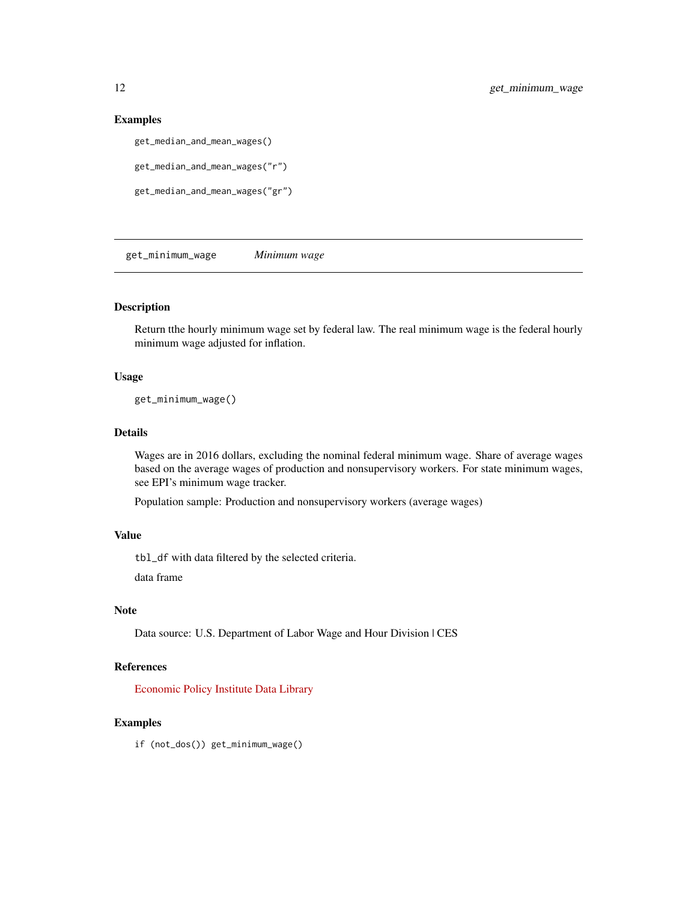# Examples

```
get_median_and_mean_wages()
```

```
get_median_and_mean_wages("r")
```

```
get_median_and_mean_wages("gr")
```
get\_minimum\_wage *Minimum wage*

# Description

Return tthe hourly minimum wage set by federal law. The real minimum wage is the federal hourly minimum wage adjusted for inflation.

# Usage

get\_minimum\_wage()

# Details

Wages are in 2016 dollars, excluding the nominal federal minimum wage. Share of average wages based on the average wages of production and nonsupervisory workers. For state minimum wages, see EPI's minimum wage tracker.

Population sample: Production and nonsupervisory workers (average wages)

# Value

tbl\_df with data filtered by the selected criteria.

data frame

# Note

Data source: U.S. Department of Labor Wage and Hour Division | CES

# References

[Economic Policy Institute Data Library](https://www.epi.org/data/)

# Examples

if (not\_dos()) get\_minimum\_wage()

<span id="page-11-0"></span>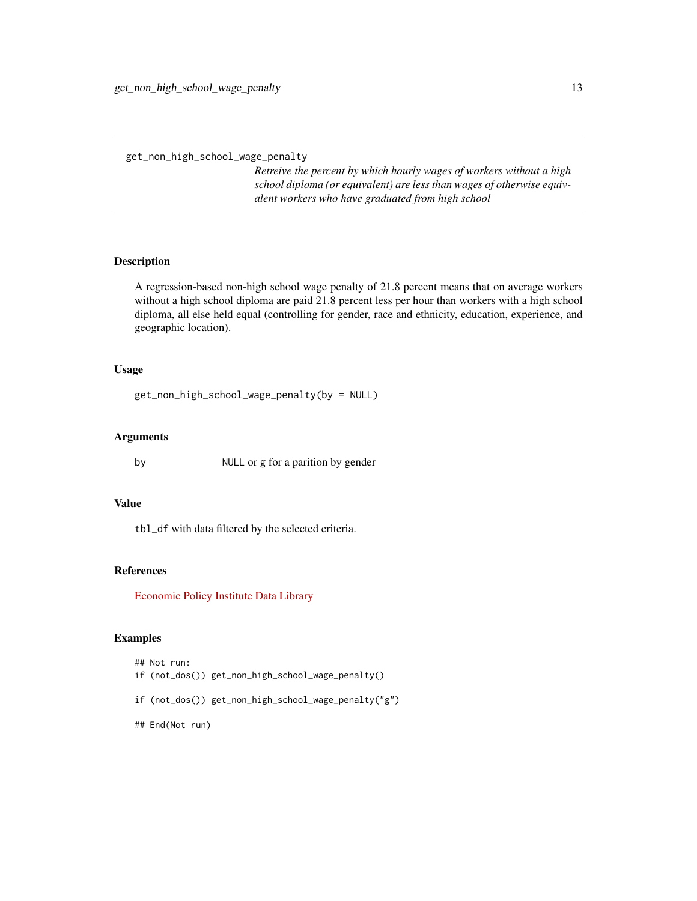<span id="page-12-0"></span>get\_non\_high\_school\_wage\_penalty

*Retreive the percent by which hourly wages of workers without a high school diploma (or equivalent) are less than wages of otherwise equivalent workers who have graduated from high school*

# Description

A regression-based non-high school wage penalty of 21.8 percent means that on average workers without a high school diploma are paid 21.8 percent less per hour than workers with a high school diploma, all else held equal (controlling for gender, race and ethnicity, education, experience, and geographic location).

# Usage

```
get_non_high_school_wage_penalty(by = NULL)
```
# Arguments

by NULL or g for a parition by gender

#### Value

tbl\_df with data filtered by the selected criteria.

# References

[Economic Policy Institute Data Library](https://www.epi.org/data/)

# Examples

## Not run: if (not\_dos()) get\_non\_high\_school\_wage\_penalty()

- if (not\_dos()) get\_non\_high\_school\_wage\_penalty("g")
- ## End(Not run)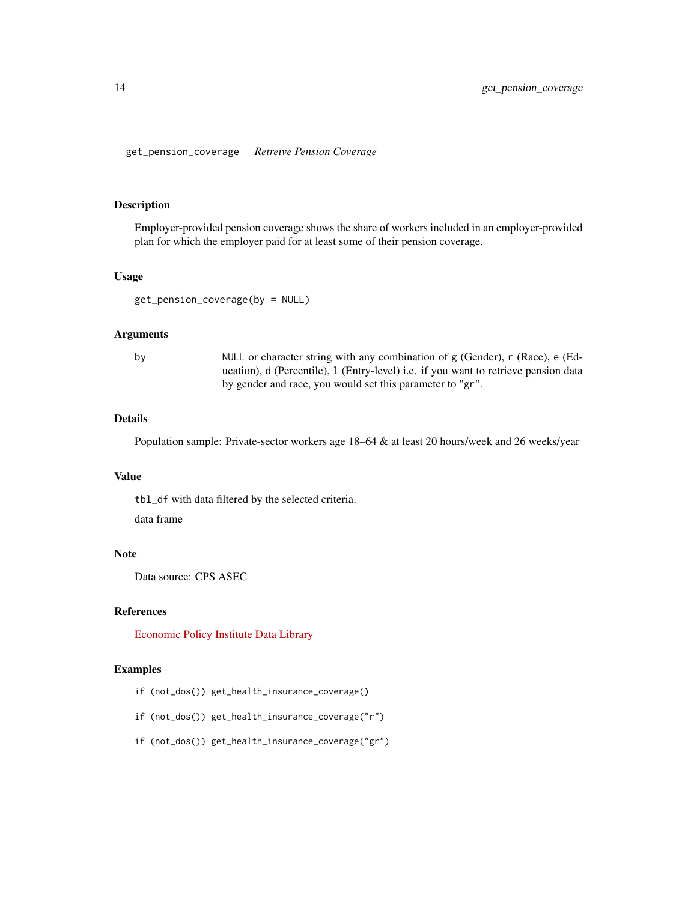# <span id="page-13-0"></span>Description

Employer-provided pension coverage shows the share of workers included in an employer-provided plan for which the employer paid for at least some of their pension coverage.

# Usage

get\_pension\_coverage(by = NULL)

# Arguments

by NULL or character string with any combination of g (Gender), r (Race), e (Education), d (Percentile), l (Entry-level) i.e. if you want to retrieve pension data by gender and race, you would set this parameter to "gr".

# Details

Population sample: Private-sector workers age 18–64 & at least 20 hours/week and 26 weeks/year

# Value

tbl\_df with data filtered by the selected criteria.

data frame

# Note

Data source: CPS ASEC

# References

[Economic Policy Institute Data Library](https://www.epi.org/data/)

- if (not\_dos()) get\_health\_insurance\_coverage()
- if (not\_dos()) get\_health\_insurance\_coverage("r")
- if (not\_dos()) get\_health\_insurance\_coverage("gr")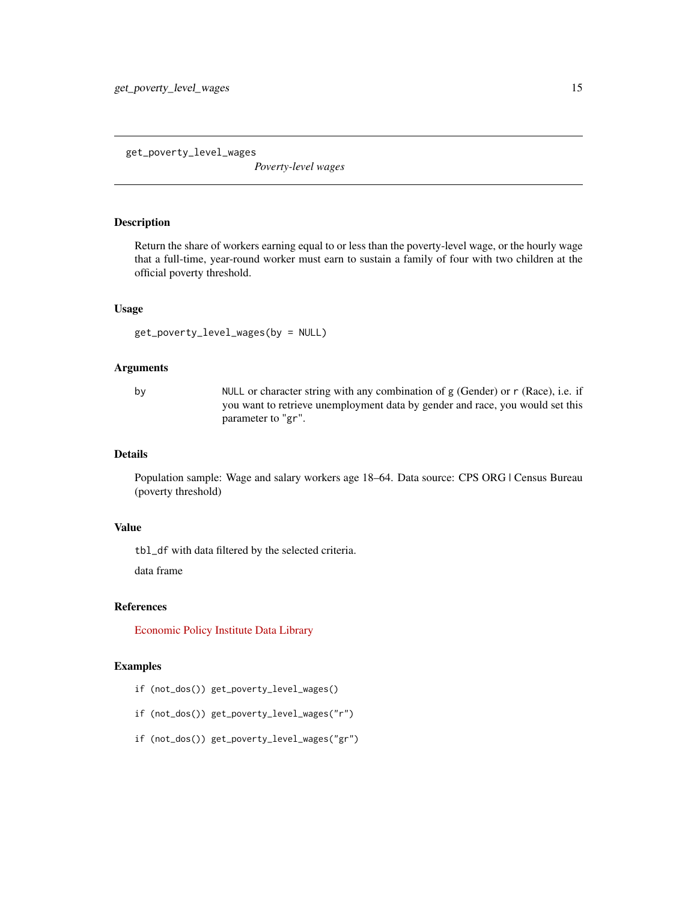<span id="page-14-0"></span>get\_poverty\_level\_wages

*Poverty-level wages*

# Description

Return the share of workers earning equal to or less than the poverty-level wage, or the hourly wage that a full-time, year-round worker must earn to sustain a family of four with two children at the official poverty threshold.

#### Usage

get\_poverty\_level\_wages(by = NULL)

# Arguments

by NULL or character string with any combination of g (Gender) or r (Race), i.e. if you want to retrieve unemployment data by gender and race, you would set this parameter to "gr".

# Details

Population sample: Wage and salary workers age 18–64. Data source: CPS ORG | Census Bureau (poverty threshold)

# Value

tbl\_df with data filtered by the selected criteria.

data frame

# References

[Economic Policy Institute Data Library](https://www.epi.org/data/)

- if (not\_dos()) get\_poverty\_level\_wages()
- if (not\_dos()) get\_poverty\_level\_wages("r")
- if (not\_dos()) get\_poverty\_level\_wages("gr")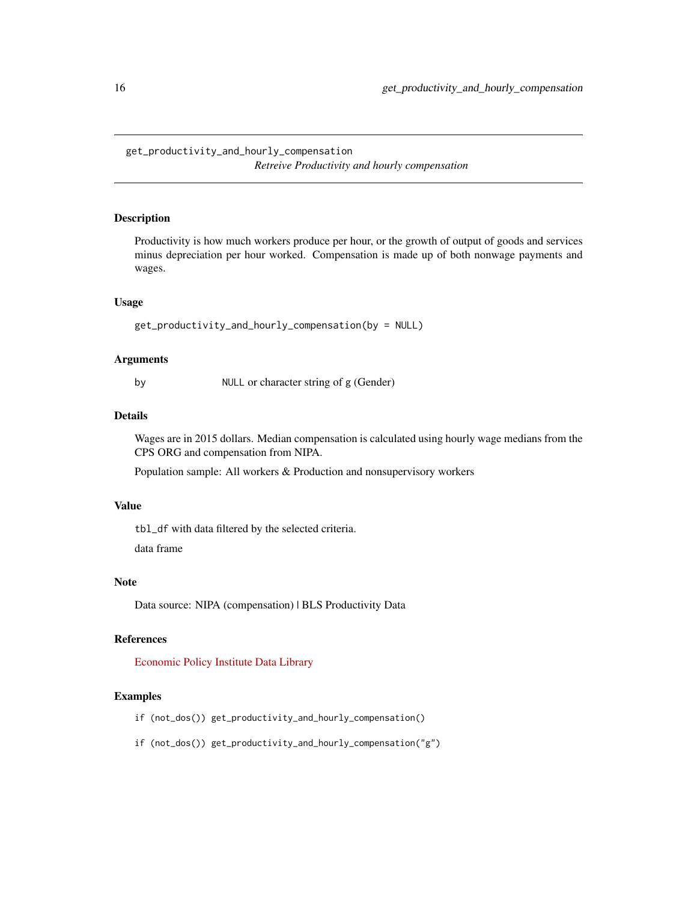<span id="page-15-0"></span>get\_productivity\_and\_hourly\_compensation *Retreive Productivity and hourly compensation*

# Description

Productivity is how much workers produce per hour, or the growth of output of goods and services minus depreciation per hour worked. Compensation is made up of both nonwage payments and wages.

#### Usage

```
get_productivity_and_hourly_compensation(by = NULL)
```
#### Arguments

by NULL or character string of g (Gender)

# Details

Wages are in 2015 dollars. Median compensation is calculated using hourly wage medians from the CPS ORG and compensation from NIPA.

Population sample: All workers & Production and nonsupervisory workers

# Value

tbl\_df with data filtered by the selected criteria.

data frame

# Note

Data source: NIPA (compensation) | BLS Productivity Data

#### References

[Economic Policy Institute Data Library](https://www.epi.org/data/)

- if (not\_dos()) get\_productivity\_and\_hourly\_compensation()
- if (not\_dos()) get\_productivity\_and\_hourly\_compensation("g")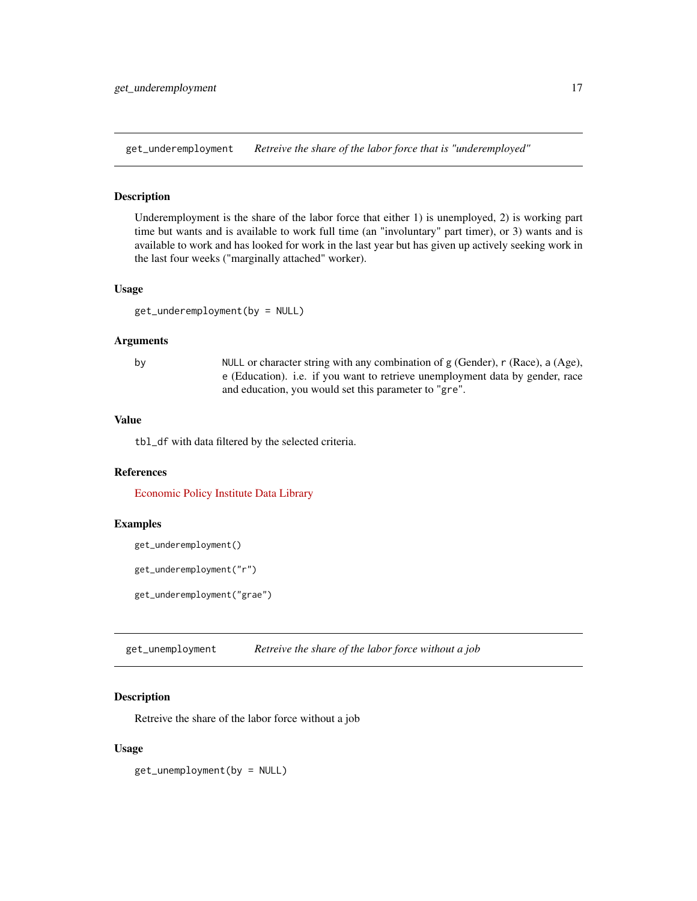<span id="page-16-0"></span>get\_underemployment *Retreive the share of the labor force that is "underemployed"*

#### Description

Underemployment is the share of the labor force that either 1) is unemployed, 2) is working part time but wants and is available to work full time (an "involuntary" part timer), or 3) wants and is available to work and has looked for work in the last year but has given up actively seeking work in the last four weeks ("marginally attached" worker).

#### Usage

get\_underemployment(by = NULL)

#### Arguments

by NULL or character string with any combination of g (Gender), r (Race), a (Age), e (Education). i.e. if you want to retrieve unemployment data by gender, race and education, you would set this parameter to "gre".

# Value

tbl\_df with data filtered by the selected criteria.

#### References

[Economic Policy Institute Data Library](https://www.epi.org/data/)

### Examples

get\_underemployment()

get\_underemployment("r")

get\_underemployment("grae")

get\_unemployment *Retreive the share of the labor force without a job*

#### Description

Retreive the share of the labor force without a job

#### Usage

get\_unemployment(by = NULL)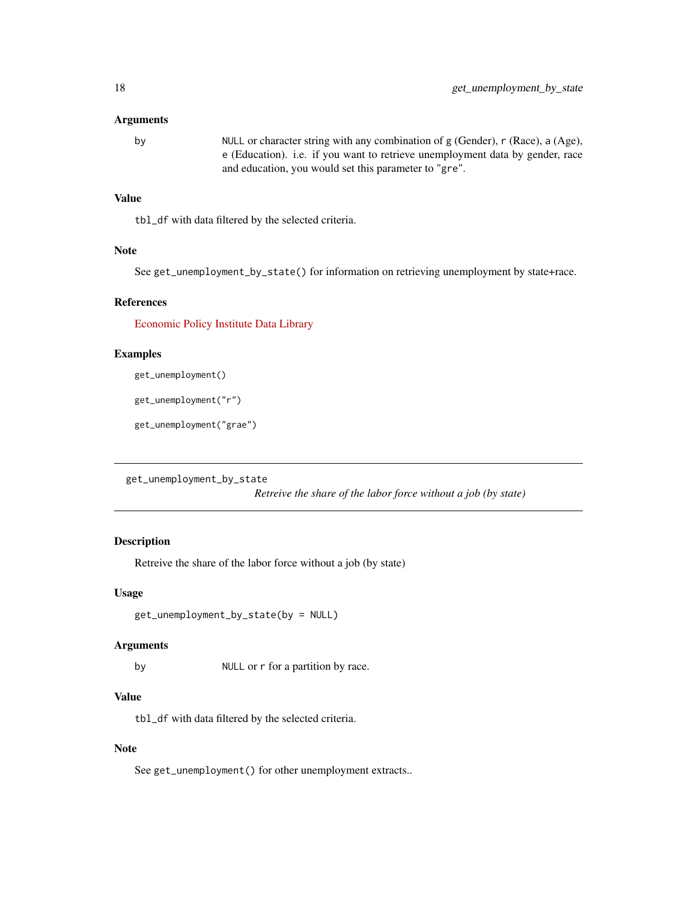#### <span id="page-17-0"></span>Arguments

```
by NULL or character string with any combination of g (Gender), r (Race), a (Age),
                 e (Education). i.e. if you want to retrieve unemployment data by gender, race
                 and education, you would set this parameter to "gre".
```
# Value

tbl\_df with data filtered by the selected criteria.

# Note

See get\_unemployment\_by\_state() for information on retrieving unemployment by state+race.

#### References

[Economic Policy Institute Data Library](https://www.epi.org/data/)

# Examples

get\_unemployment()

get\_unemployment("r")

get\_unemployment("grae")

get\_unemployment\_by\_state

*Retreive the share of the labor force without a job (by state)*

# Description

Retreive the share of the labor force without a job (by state)

# Usage

```
get_unemployment_by_state(by = NULL)
```
#### Arguments

by NULL or r for a partition by race.

# Value

tbl\_df with data filtered by the selected criteria.

#### Note

See get\_unemployment() for other unemployment extracts..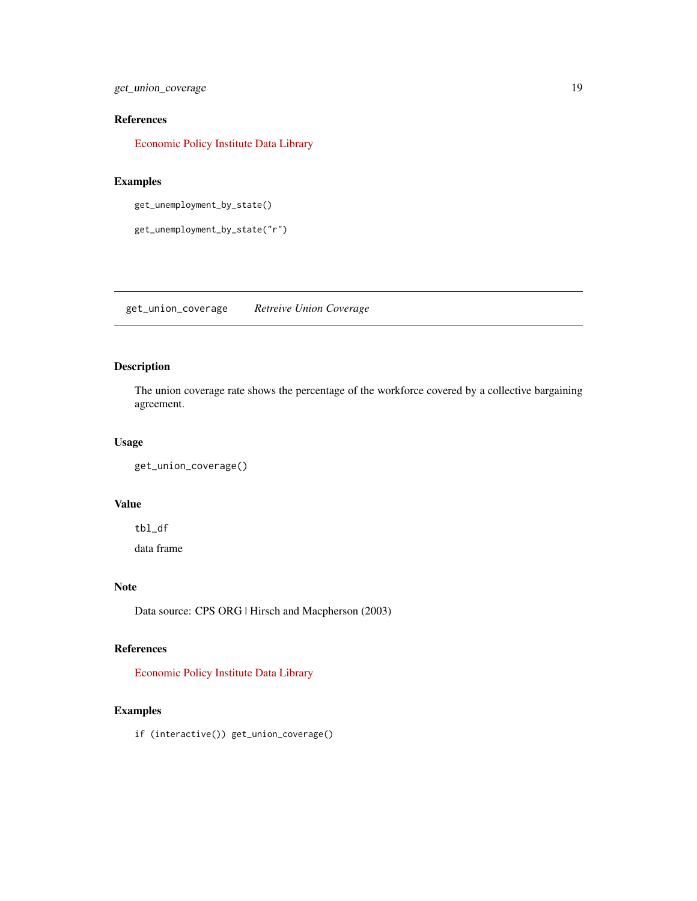<span id="page-18-0"></span>get\_union\_coverage 19

# References

[Economic Policy Institute Data Library](https://www.epi.org/data/)

# Examples

get\_unemployment\_by\_state()

get\_unemployment\_by\_state("r")

get\_union\_coverage *Retreive Union Coverage*

# Description

The union coverage rate shows the percentage of the workforce covered by a collective bargaining agreement.

# Usage

```
get_union_coverage()
```
# Value

tbl\_df

data frame

# Note

Data source: CPS ORG | Hirsch and Macpherson (2003)

# References

[Economic Policy Institute Data Library](https://www.epi.org/data/)

# Examples

if (interactive()) get\_union\_coverage()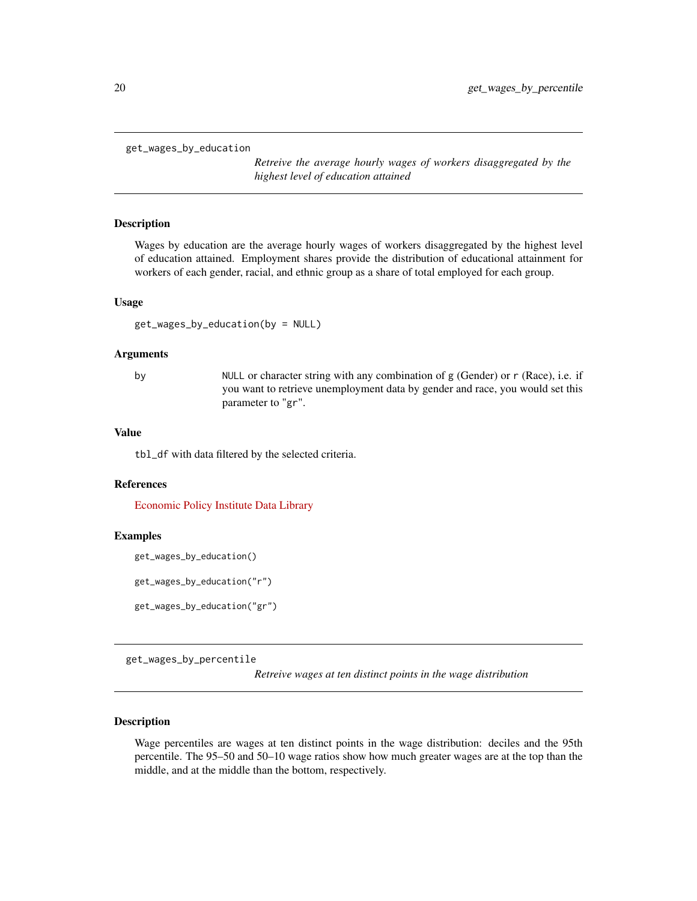<span id="page-19-0"></span>get\_wages\_by\_education

*Retreive the average hourly wages of workers disaggregated by the highest level of education attained*

# Description

Wages by education are the average hourly wages of workers disaggregated by the highest level of education attained. Employment shares provide the distribution of educational attainment for workers of each gender, racial, and ethnic group as a share of total employed for each group.

#### Usage

```
get_wages_by_education(by = NULL)
```
#### Arguments

by NULL or character string with any combination of g (Gender) or r (Race), i.e. if you want to retrieve unemployment data by gender and race, you would set this parameter to "gr".

# Value

tbl\_df with data filtered by the selected criteria.

#### References

[Economic Policy Institute Data Library](https://www.epi.org/data/)

#### Examples

```
get_wages_by_education()
```

```
get_wages_by_education("r")
```

```
get_wages_by_education("gr")
```
get\_wages\_by\_percentile

*Retreive wages at ten distinct points in the wage distribution*

# Description

Wage percentiles are wages at ten distinct points in the wage distribution: deciles and the 95th percentile. The 95–50 and 50–10 wage ratios show how much greater wages are at the top than the middle, and at the middle than the bottom, respectively.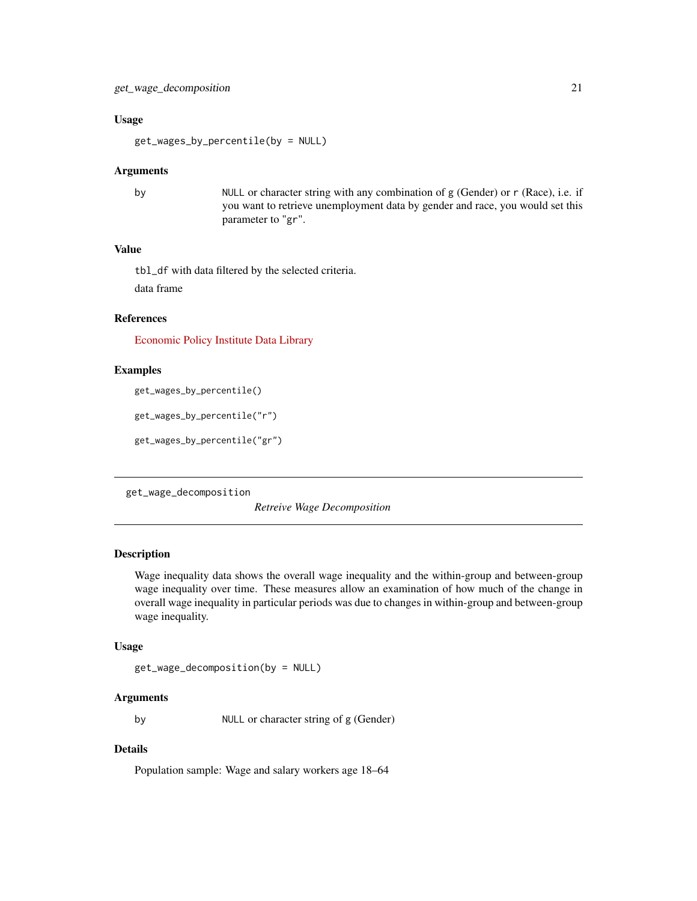#### <span id="page-20-0"></span>Usage

get\_wages\_by\_percentile(by = NULL)

#### Arguments

by NULL or character string with any combination of g (Gender) or r (Race), i.e. if you want to retrieve unemployment data by gender and race, you would set this parameter to "gr".

# Value

tbl\_df with data filtered by the selected criteria.

data frame

# References

[Economic Policy Institute Data Library](https://www.epi.org/data/)

# Examples

get\_wages\_by\_percentile()

```
get_wages_by_percentile("r")
```

```
get_wages_by_percentile("gr")
```
get\_wage\_decomposition

*Retreive Wage Decomposition*

# Description

Wage inequality data shows the overall wage inequality and the within-group and between-group wage inequality over time. These measures allow an examination of how much of the change in overall wage inequality in particular periods was due to changes in within-group and between-group wage inequality.

#### Usage

get\_wage\_decomposition(by = NULL)

# Arguments

by NULL or character string of g (Gender)

# Details

Population sample: Wage and salary workers age 18–64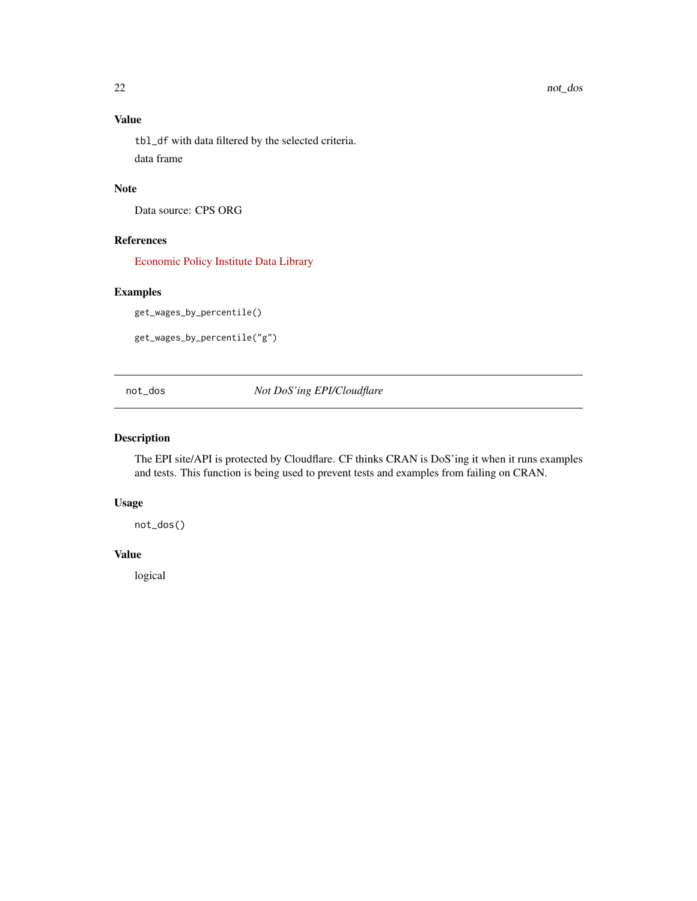# Value

tbl\_df with data filtered by the selected criteria. data frame

# Note

Data source: CPS ORG

# References

[Economic Policy Institute Data Library](https://www.epi.org/data/)

# Examples

get\_wages\_by\_percentile()

get\_wages\_by\_percentile("g")

not\_dos *Not DoS'ing EPI/Cloudflare*

# Description

The EPI site/API is protected by Cloudflare. CF thinks CRAN is DoS'ing it when it runs examples and tests. This function is being used to prevent tests and examples from failing on CRAN.

# Usage

not\_dos()

# Value

logical

<span id="page-21-0"></span>